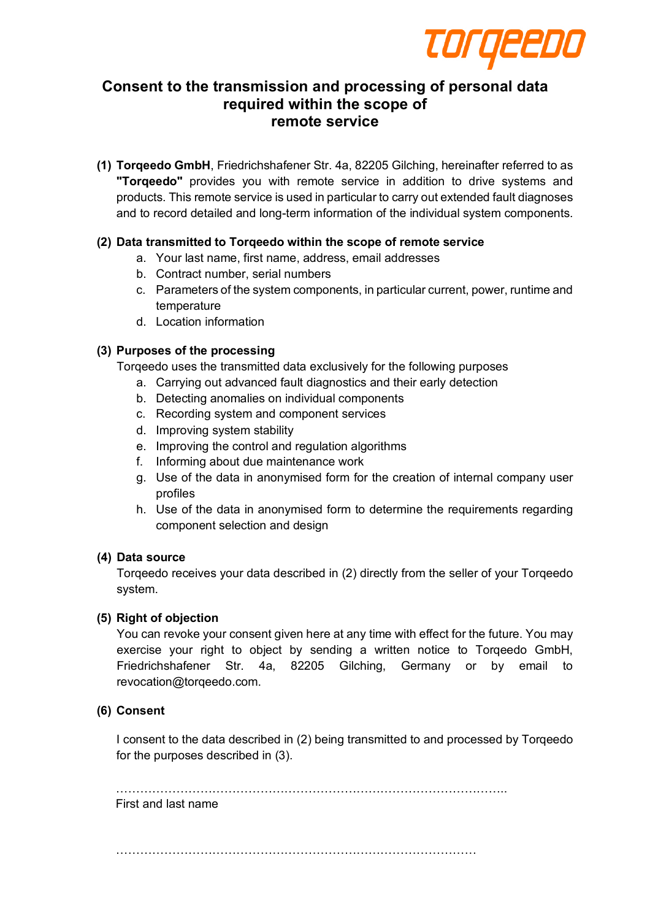

# **Consent to the transmission and processing of personal data required within the scope of remote service**

**(1) Torqeedo GmbH**, Friedrichshafener Str. 4a, 82205 Gilching, hereinafter referred to as **"Torqeedo"** provides you with remote service in addition to drive systems and products. This remote service is used in particular to carry out extended fault diagnoses and to record detailed and long-term information of the individual system components.

# **(2) Data transmitted to Torqeedo within the scope of remote service**

- a. Your last name, first name, address, email addresses
- b. Contract number, serial numbers
- c. Parameters of the system components, in particular current, power, runtime and temperature
- d. Location information

# **(3) Purposes of the processing**

Torqeedo uses the transmitted data exclusively for the following purposes

- a. Carrying out advanced fault diagnostics and their early detection
- b. Detecting anomalies on individual components
- c. Recording system and component services
- d. Improving system stability
- e. Improving the control and regulation algorithms
- f. Informing about due maintenance work
- g. Use of the data in anonymised form for the creation of internal company user profiles
- h. Use of the data in anonymised form to determine the requirements regarding component selection and design

## **(4) Data source**

Torqeedo receives your data described in (2) directly from the seller of your Torqeedo system.

## **(5) Right of objection**

You can revoke your consent given here at any time with effect for the future. You may exercise your right to object by sending a written notice to Torqeedo GmbH, Friedrichshafener Str. 4a, 82205 Gilching, Germany or by email to revocation@torqeedo.com.

## **(6) Consent**

I consent to the data described in (2) being transmitted to and processed by Torqeedo for the purposes described in (3).

……………………………………………………………………………………..

## First and last name

………………………………………………………………………………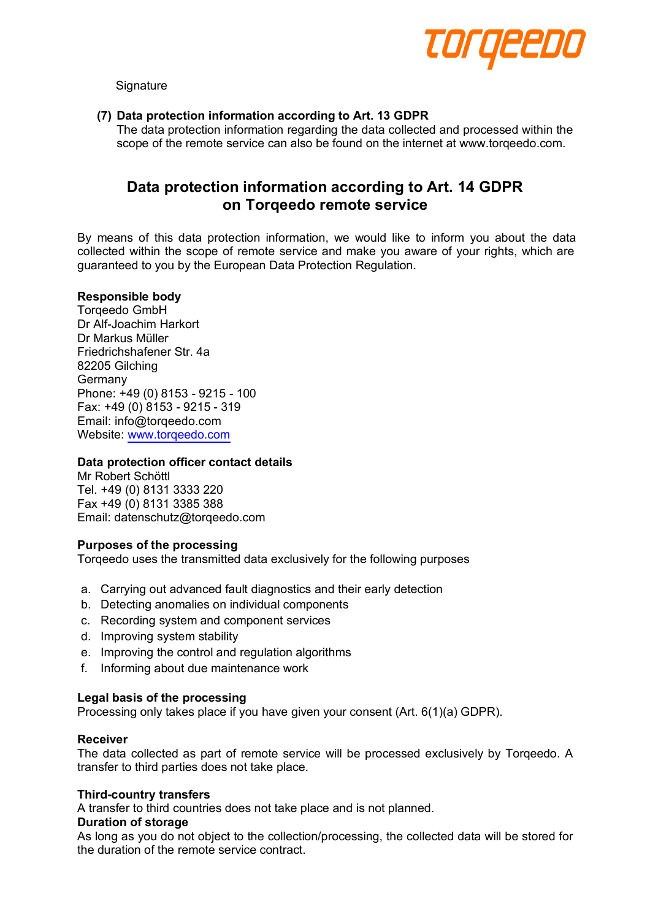

**Signature** 

## **(7) Data protection information according to Art. 13 GDPR**

The data protection information regarding the data collected and processed within the scope of the remote service can also be found on the internet at www.torqeedo.com.

# **Data protection information according to Art. 14 GDPR on Torqeedo remote service**

By means of this data protection information, we would like to inform you about the data collected within the scope of remote service and make you aware of your rights, which are guaranteed to you by the European Data Protection Regulation.

## **Responsible body**

Torqeedo GmbH Dr Alf-Joachim Harkort Dr Markus Müller Friedrichshafener Str. 4a 82205 Gilching Germany Phone: +49 (0) 8153 - 9215 - 100 Fax: +49 (0) 8153 - 9215 - 319 Email: info@torqeedo.com Website: www.torqeedo.com

## **Data protection officer contact details**

Mr Robert Schöttl Tel. +49 (0) 8131 3333 220 Fax +49 (0) 8131 3385 388 Email: datenschutz@torqeedo.com

## **Purposes of the processing**

Torqeedo uses the transmitted data exclusively for the following purposes

- a. Carrying out advanced fault diagnostics and their early detection
- b. Detecting anomalies on individual components
- c. Recording system and component services
- d. Improving system stability
- e. Improving the control and regulation algorithms
- f. Informing about due maintenance work

#### **Legal basis of the processing**

Processing only takes place if you have given your consent (Art. 6(1)(a) GDPR).

#### **Receiver**

The data collected as part of remote service will be processed exclusively by Torqeedo. A transfer to third parties does not take place.

### **Third-country transfers**

A transfer to third countries does not take place and is not planned.

#### **Duration of storage**

As long as you do not object to the collection/processing, the collected data will be stored for the duration of the remote service contract.